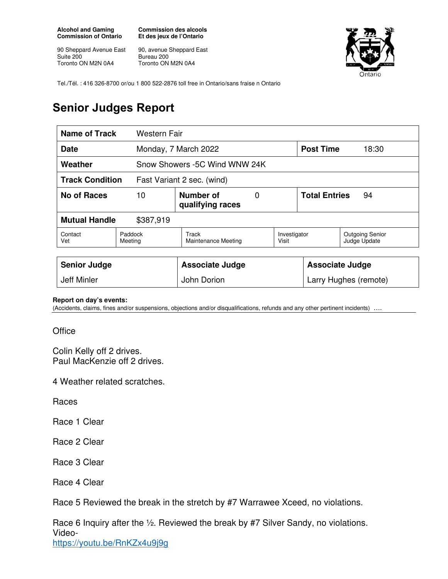**Alcohol and Gaming Commission of Ontario** 

90 Sheppard Avenue East Suite 200 Toronto ON M2N 0A4

**Commission des alcools Et des jeux de l'Ontario** 

90, avenue Sheppard East Bureau 200 Toronto ON M2N 0A4



Tel./Tél. : 416 326-8700 or/ou 1 800 522-2876 toll free in Ontario/sans fraise n Ontario

## **Senior Judges Report**

| Name of Track<br>Western Fair                        |                                          |                               |  |                            |       |                                        |
|------------------------------------------------------|------------------------------------------|-------------------------------|--|----------------------------|-------|----------------------------------------|
| <b>Date</b>                                          |                                          | Monday, 7 March 2022          |  | <b>Post Time</b>           | 18:30 |                                        |
| Weather                                              |                                          | Snow Showers -5C Wind WNW 24K |  |                            |       |                                        |
| <b>Track Condition</b><br>Fast Variant 2 sec. (wind) |                                          |                               |  |                            |       |                                        |
| <b>No of Races</b>                                   | 10<br>Number of<br>0<br>qualifying races |                               |  | <b>Total Entries</b><br>94 |       |                                        |
| <b>Mutual Handle</b><br>\$387,919                    |                                          |                               |  |                            |       |                                        |
| Paddock<br>Contact<br>Vet<br>Meeting                 |                                          | Track<br>Maintenance Meeting  |  | Investigator<br>Visit      |       | <b>Outgoing Senior</b><br>Judge Update |
|                                                      |                                          |                               |  |                            |       |                                        |
| <b>Senior Judge</b>                                  |                                          | <b>Associate Judge</b>        |  | <b>Associate Judge</b>     |       |                                        |
| Jeff Minler                                          |                                          | John Dorion                   |  | Larry Hughes (remote)      |       |                                        |

**Report on day's events:** 

(Accidents, claims, fines and/or suspensions, objections and/or disqualifications, refunds and any other pertinent incidents) ….

**Office** 

Colin Kelly off 2 drives. Paul MacKenzie off 2 drives.

4 Weather related scratches.

Races

Race 1 Clear

Race 2 Clear

Race 3 Clear

Race 4 Clear

Race 5 Reviewed the break in the stretch by #7 Warrawee Xceed, no violations.

Race 6 Inquiry after the ½. Reviewed the break by #7 Silver Sandy, no violations. Videohttps://youtu.be/RnKZx4u9j9g